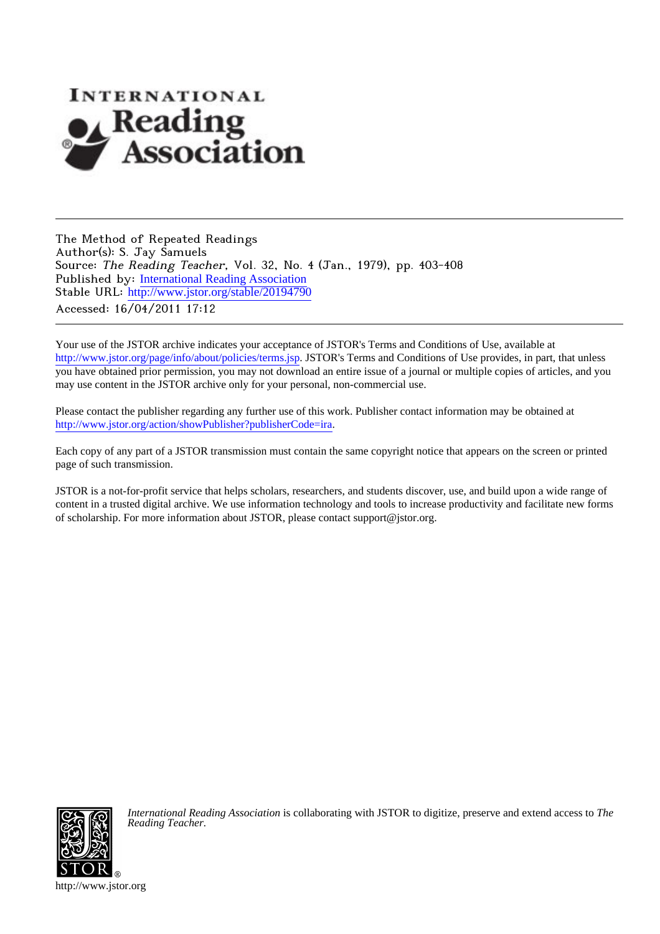

The Method of Repeated Readings Author(s): S. Jay Samuels Source: The Reading Teacher, Vol. 32, No. 4 (Jan., 1979), pp. 403-408 Published by: [International Reading Association](http://www.jstor.org/action/showPublisher?publisherCode=ira) Stable URL: http://www.jstor.org/stable/20194790 Accessed: 16/04/2011 17:12

Your use of the JSTOR archive indicates your acceptance of JSTOR's Terms and Conditions of Use, available at <http://www.jstor.org/page/info/about/policies/terms.jsp>. JSTOR's Terms and Conditions of Use provides, in part, that unless you have obtained prior permission, you may not download an entire issue of a journal or multiple copies of articles, and you may use content in the JSTOR archive only for your personal, non-commercial use.

Please contact the publisher regarding any further use of this work. Publisher contact information may be obtained at [http://www.jstor.org/action/showPublisher?publisherCode=ira.](http://www.jstor.org/action/showPublisher?publisherCode=ira)

Each copy of any part of a JSTOR transmission must contain the same copyright notice that appears on the screen or printed page of such transmission.

JSTOR is a not-for-profit service that helps scholars, researchers, and students discover, use, and build upon a wide range of content in a trusted digital archive. We use information technology and tools to increase productivity and facilitate new forms of scholarship. For more information about JSTOR, please contact support@jstor.org.



*International Reading Association* is collaborating with JSTOR to digitize, preserve and extend access to *The Reading Teacher.*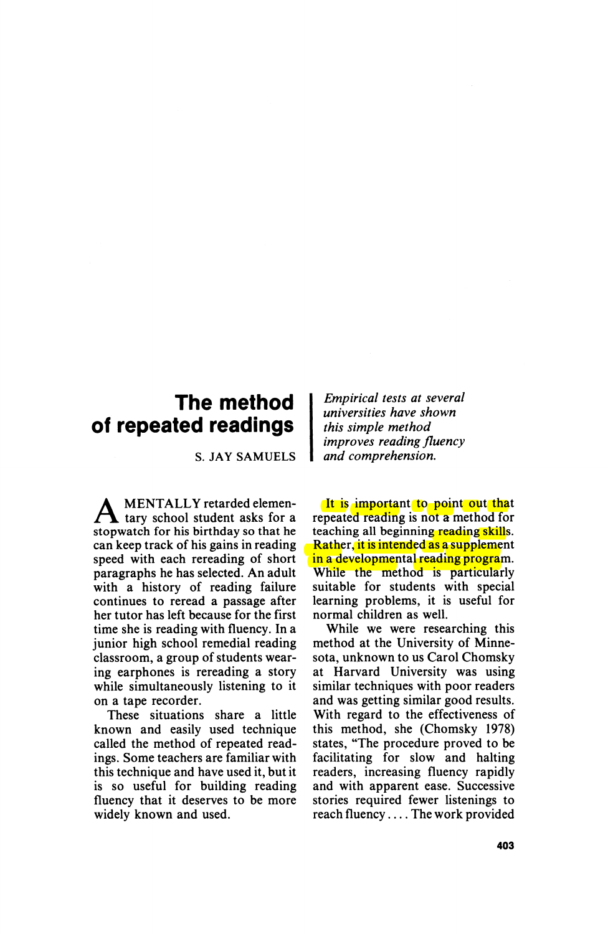# **The method I of repeated readings**

**S. JAY SAMUELS** 

**AMENTALLY STATES IN STATE AND STATES SO THAT HE STATES MENTALLY** retarded elemen**tary school student asks for a can keep track of his gains in reading speed with each rereading of short paragraphs he has selected. An adult with a history of reading failure continues to reread a passage after her tutor has left because for the first time she is reading with fluency. In a junior high school remedial reading classroom, a group of students wear ing earphones is rereading a story while simultaneously listening to it on a tape recorder.** 

**These situations share a little known and easily used technique**  called the method of repeated read**ings. Some teachers are familiar with this technique and have used it, but it is so useful for building reading fluency that it deserves to be more widely known and used.** 

**Empirical tests at several universities have shown this simple method**  *improves reading fluer* **and comprehension.** 

**It is important to point out that repeated reading is not a method for teaching all beginning reading skills. Rather, it is intended as a supplement in a developmental reading program. While the method is particularly suitable for students with special learning problems, it is useful for normal children as well.** 

**While we were researching this method at the University of Minne sota, unknown to us Carol Chomsky at Harvard University was using similar techniques with poor readers and was getting similar good results. With regard to the effectiveness of this method, she (Chomsky 1978) states, "The procedure proved to be facilitating for slow and halting readers, increasing fluency rapidly and with apparent ease. Successive stories required fewer listenings to reach fluency\_The work provided**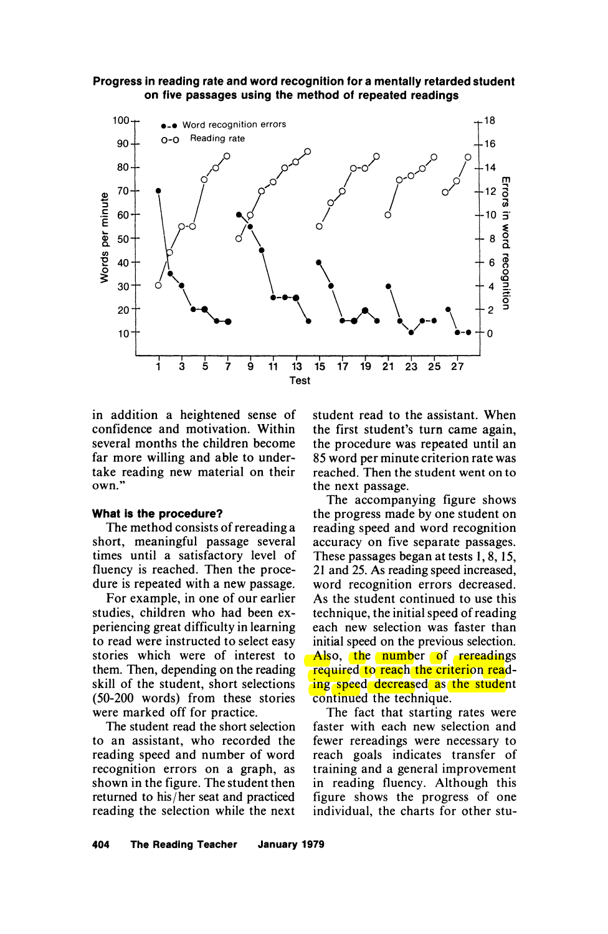**Progress in reading rate and word recognition for a mentally retarded student on five passages using the method of repeated readings** 



**in addition a heightened sense of confidence and motivation. Within several months the children become far more willing and able to under take reading new material on their own."** 

#### **What is the procedure?**

**The method consists of rereading a short, meaningful passage several times until a satisfactory level of fluency is reached. Then the proce dure is repeated with a new passage.** 

**For example, in one of our earlier**  studies, children who had been ex**periencing great difficulty in learning to read were instructed to select easy stories which were of interest to them. Then, depending on the reading skill of the student, short selections (50-200 words) from these stories were marked off for practice.** 

**The student read the short selection to an assistant, who recorded the reading speed and number of word recognition errors on a graph, as shown in the figure. The student then returned to his/her seat and practiced reading the selection while the next**  **Student read to the assistant. When the first student's turn came again, the procedure was repeated until an 85 word per minute criterion rate was reached. Then the student went on to the next passage.** 

**The accompanying figure shows the progress made by one student on reading speed and word recognition accuracy on five separate passages. These passages began at tests 1,8,15, 21 and 25. As reading speed increased, word recognition errors decreased. As the student continued to use this technique, the initial speed of reading each new selection was faster than initial speed on the previous selection.**  Also, the number of rereadings **required to reach the criterion read ing speed decreased as the student continued the technique.** 

**The fact that starting rates were faster with each new selection and fewer rereadings were necessary to reach goals indicates transfer of training and a general improvement in reading fluency. Although this figure shows the progress of one**  individual, the charts for other stu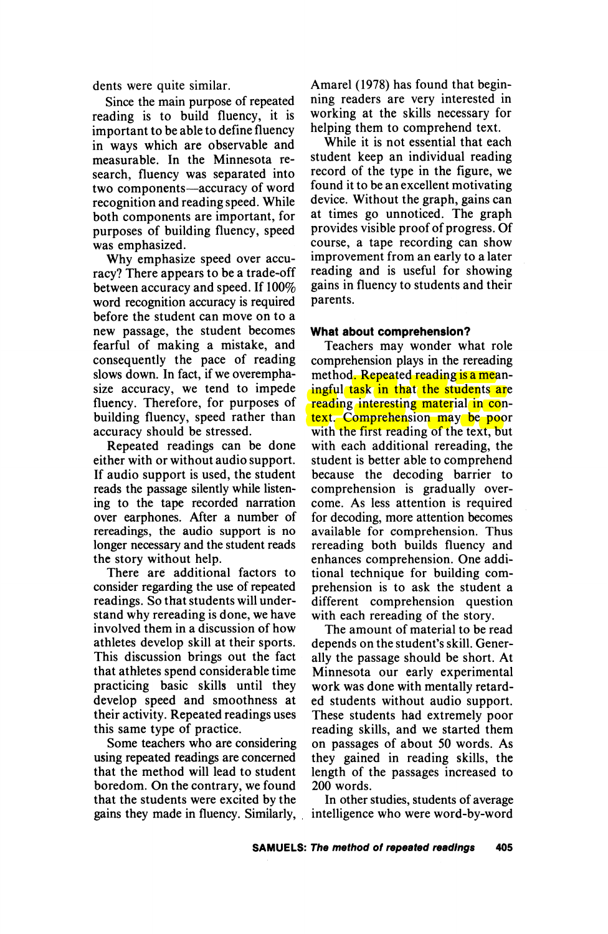**dents were quite similar.** 

**Since the main purpose of repeated reading is to build fluency, it is important to be able to define fluency in ways which are observable and measurable. In the Minnesota re search, fluency was separated into**  two components—accuracy of word **recognition and reading speed. While both components are important, for purposes of building fluency, speed was emphasized.** 

**Why emphasize speed over accu racy? There appears to be a trade-off between accuracy and speed. If 100% word recognition accuracy is required before the student can move on to a new passage, the student becomes fearful of making a mistake, and consequently the pace of reading slows down. In fact, if we overempha size accuracy, we tend to impede fluency. Therefore, for purposes of building fluency, speed rather than accuracy should be stressed.** 

**Repeated readings can be done either with or without audio support. If audio support is used, the student reads the passage silently while listen ing to the tape recorded narration over earphones. After a number of rereadings, the audio support is no longer necessary and the student reads the story without help.** 

**There are additional factors to consider regarding the use of repeated readings. So that students will under stand why rereading is done, we have involved them in a discussion of how athletes develop skill at their sports. This discussion brings out the fact that athletes spend considerable time practicing basic skills until they develop speed and smoothness at their activity. Repeated readings uses this same type of practice.** 

**Some teachers who are considering using repeated readings are concerned that the method will lead to student boredom. On the contrary, we found that the students were excited by the gains they made in fluency. Similarly,** 

**Amarel (1978) has found that begin ning readers are very interested in working at the skills necessary for helping them to comprehend text.** 

**While it is not essential that each student keep an individual reading record of the type in the figure, we found it to be an excellent motivating device. Without the graph, gains can at times go unnoticed. The graph provides visible proof of progress. Of course, a tape recording can show improvement from an early to a later reading and is useful for showing gains in fluency to students and their parents.** 

## **What about comprehension?**

**Teachers may wonder what role comprehension plays in the rereading method. Repeated reading is a mean ingful task in that the students are reading interesting material in con text. Comprehension may be poor with the first reading of the text, but with each additional rereading, the student is better able to comprehend because the decoding barrier to comprehension is gradually over come. As less attention is required for decoding, more attention becomes available for comprehension. Thus rereading both builds fluency and enhances comprehension. One addi tional technique for building com prehension is to ask the student a different comprehension question with each rereading of the story.** 

**The amount of material to be read depends on the student's skill. Gener ally the passage should be short. At Minnesota our early experimental work was done with mentally retard ed students without audio support. These students had extremely poor reading skills, and we started them on passages of about 50 words. As they gained in reading skills, the length of the passages increased to 200 words.** 

**In other studies, students of average intelligence who were word-by-word**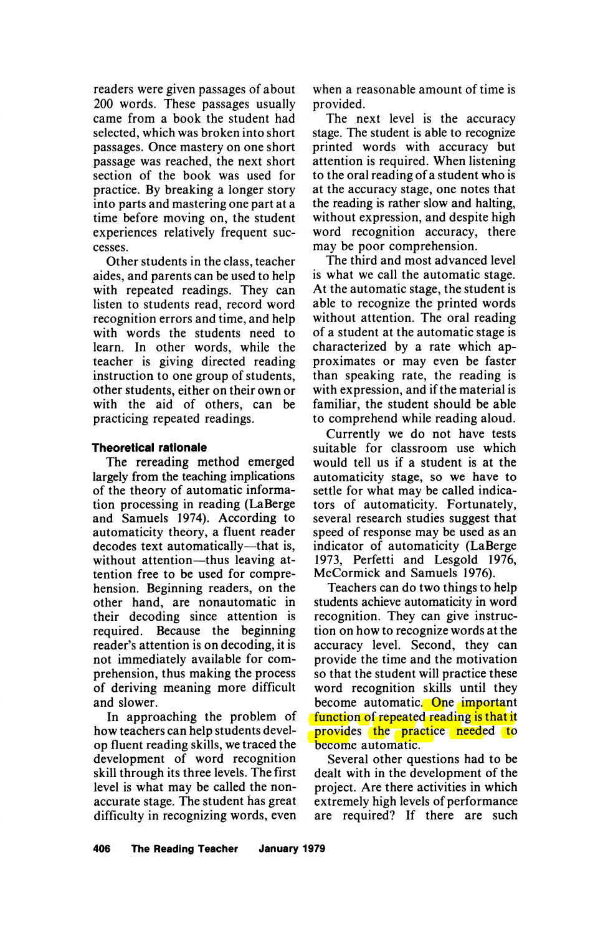**readers were given passages of about 200 words. These passages usually came from a book the student had selected, which was broken into short passages. Once mastery on one short passage was reached, the next short section of the book was used for practice. By breaking a longer story into parts and mastering one part at a time before moving on, the student experiences relatively frequent suc cesses.** 

**Other students in the class, teacher aides, and parents can be used to help with repeated readings. They can listen to students read, record word recognition errors and time, and help with words the students need to learn. In other words, while the teacher is giving directed reading instruction to one group of students, other students, either on their own or with the aid of others, can be practicing repeated readings.** 

## **Theoretical rationale**

**The rereading method emerged largely from the teaching implications of the theory of automatic informa tion processing in reading (LaBerge and Samuels 1974). According to automaticity theory, a fluent reader**  decodes text automatically—that is, without attention—thus leaving at**tention free to be used for compre hension. Beginning readers, on the other hand, are nonautomatic in their decoding since attention is required. Because the beginning reader's attention is on decoding, it is not immediately available for com prehension, thus making the process of deriving meaning more difficult and slower.** 

**In approaching the problem of how teachers can help students devel op fluent reading skills, we traced the development of word recognition skill through its three levels. The first**  level is what may be called the non**accurate stage. The student has great difficulty in recognizing words, even** 

**when a reasonable amount of time is** 

**provided. The next level is the accuracy stage. The student is able to recognize printed words with accuracy but attention is required. When listening to the oral reading of a student who is at the accuracy stage, one notes that the reading is rather slow and halting, without expression, and despite high word recognition accuracy, there may be poor comprehension.** 

**The third and most advanced level is what we call the automatic stage. At the automatic stage, the student is able to recognize the printed words without attention. The oral reading of a student at the automatic stage is**  characterized by a rate which ap**proximates or may even be faster than speaking rate, the reading is with expression, and if the material is familiar, the student should be able to comprehend while reading aloud.** 

**Currently we do not have tests suitable for classroom use which would tell us if a student is at the automaticity stage, so we have to settle for what may be called indica tors of automaticity. Fortunately, several research studies suggest that speed of response may be used as an indicator of automaticity (LaBerge 1973, Perfetti and Lesgold 1976, McCormick and Samuels 1976).** 

**Teachers can do two things to help students achieve automaticity in word recognition. They can give instruc tion on how to recognize words at the accuracy level. Second, they can provide the time and the motivation so that the student will practice these word recognition skills until they become automatic. One important function of repeated reading is that it provides the practice needed to become automatic.** 

**Several other questions had to be dealt with in the development of the project. Are there activities in which extremely high levels of performance are required? If there are such**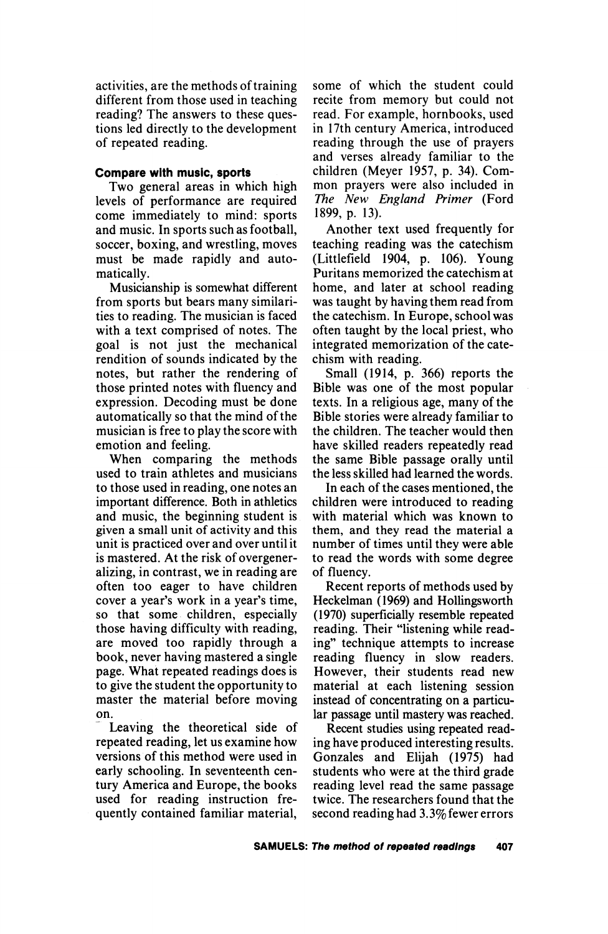**activities, are the methods of training different from those used in teaching reading? The answers to these ques tions led directly to the development of repeated reading.** 

## **Compare with music, sports**

**Two general areas in which high levels of performance are required come immediately to mind: sports and music. In sports such as football, soccer, boxing, and wrestling, moves**  must be made rapidly and auto-<br>matically.

**matically. Musicianship is somewhat different** from sports but bears many similari**ties to reading. The musician is faced with a text comprised of notes. The goal is not just the mechanical rendition of sounds indicated by the notes, but rather the rendering of those printed notes with fluency and expression. Decoding must be done automatically so that the mind of the musician is free to play the score with emotion and feeling.** 

**When comparing the methods used to train athletes and musicians to those used in reading, one notes an important difference. Both in athletics and music, the beginning student is given a small unit of activity and this unit is practiced over and over until it is mastered. At the risk of overgener alizing, in contrast, we in reading are often too eager to have children cover a year's work in a year's time, so that some children, especially those having difficulty with reading, are moved too rapidly through a book, never having mastered a single page. What repeated readings does is to give the student the opportunity to master the material before moving on.** 

**Leaving the theoretical side of repeated reading, let us examine how versions of this method were used in early schooling. In seventeenth cen tury America and Europe, the books used for reading instruction fre quently contained familiar material,** 

**some of which the student could recite from memory but could not read. For example, hornbooks, used in 17th century America, introduced reading through the use of prayers and verses already familiar to the children (Meyer 1957, p. 34). Com mon prayers were also included in The New England Primer (Ford 1899, p. 13).** 

**Another text used frequently for teaching reading was the catechism (Littlefield 1904, p. 106). Young Puritans memorized the catechism at home, and later at school reading was taught by having them read from the catechism. In Europe, school was often taught by the local priest, who integrated memorization of the cate chism with reading.** 

**Small (1914, p. 366) reports the Bible was one of the most popular texts. In a religious age, many of the Bible stories were already familiar to the children. The teacher would then have skilled readers repeatedly read the same Bible passage orally until the less skilled had learned the words.** 

**In each of the cases mentioned, the children were introduced to reading with material which was known to them, and they read the material a number of times until they were able to read the words with some degree of fluency.** 

**Recent reports of methods used by Heckelman (1969) and Hollingsworth (1970) superficially resemble repeated reading. Their "listening while read ing" technique attempts to increase reading fluency in slow readers. However, their students read new material at each listening session**  instead of concentrating on a particu**lar passage until mastery was reached.** 

**Recent studies using repeated read ing have produced interesting results. Gonzales and Elijah (1975) had students who were at the third grade reading level read the same passage twice. The researchers found that the second reading had 3.3% fewer errors**